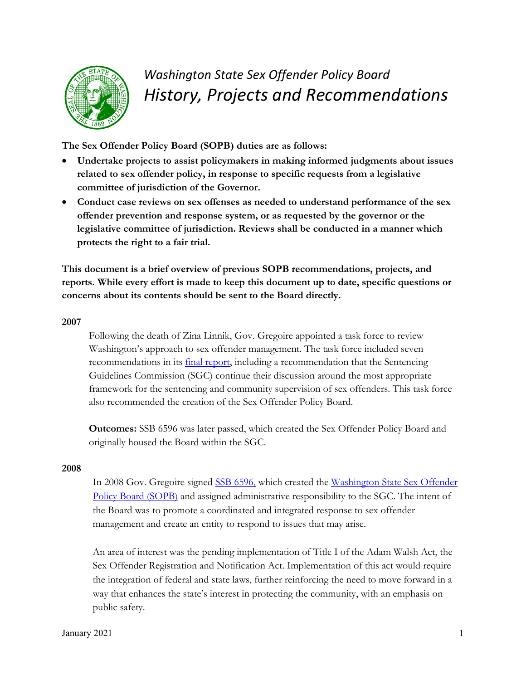

# *Washington State Sex Offender Policy Board History, Projects and Recommendations*

**The Sex Offender Policy Board (SOPB) duties are as follows:**

- x **Undertake projects to assist policymakers in making informed judgments about issues related to sex offender policy, in response to specific requests from a legislative committee of jurisdiction of the Governor.**
- Conduct case reviews on sex offenses as needed to understand performance of the sex **offender prevention and response system, or as requested by the governor or the legislative committee of jurisdiction. Reviews shall be conducted in a manner which protects the right to a fair trial.**

**This document is a brief overview of previous SOPB recommendations, projects, and reports. While every effort is made to keep this document up to date, specific questions or concerns about its contents should be sent to the Board directly.** 

#### **2007**

Following the death of Zina Linnik, Gov. Gregoire appointed a task force to review Washington's approach to sex offender management. The task force included seven recommendations in its final report, including a recommendation that the Sentencing Guidelines Commission (SGC) continue their discussion around the most appropriate framework for the sentencing and community supervision of sex offenders. This task force also recommended the creation of the Sex Offender Policy Board.

**Outcomes:** SSB 6596 was later passed, which created the Sex Offender Policy Board and originally housed the Board within the SGC.

# **2008**

In 2008 Gov. Gregoire signed SSB 6596, which created the Washington State Sex Offender Policy Board (SOPB) and assigned administrative responsibility to the SGC. The intent of the Board was to promote a coordinated and integrated response to sex offender management and create an entity to respond to issues that may arise.

An area of interest was the pending implementation of Title I of the Adam Walsh Act, the Sex Offender Registration and Notification Act. Implementation of this act would require the integration of federal and state laws, further reinforcing the need to move forward in a way that enhances the state's interest in protecting the community, with an emphasis on public safety.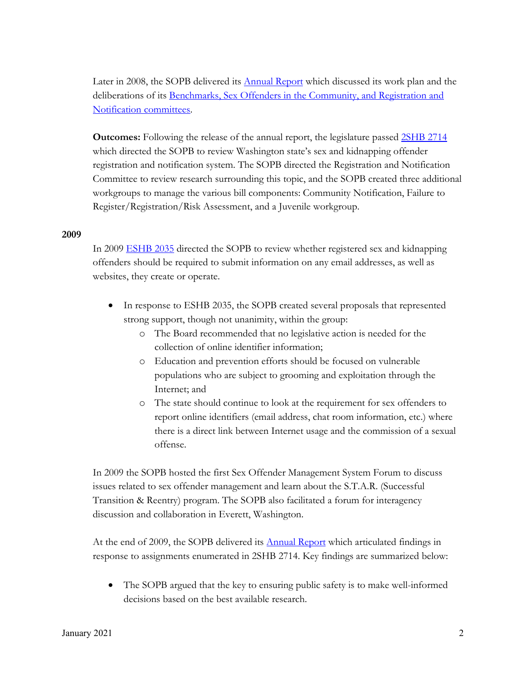Later in 2008, the SOPB delivered its Annual Report which discussed its work plan and the deliberations of its Benchmarks, Sex Offenders in the Community, and Registration and Notification committees.

**Outcomes:** Following the release of the annual report, the legislature passed 2SHB 2714 which directed the SOPB to review Washington state's sex and kidnapping offender registration and notification system. The SOPB directed the Registration and Notification Committee to review research surrounding this topic, and the SOPB created three additional workgroups to manage the various bill components: Community Notification, Failure to Register/Registration/Risk Assessment, and a Juvenile workgroup.

#### **2009**

In 2009 ESHB 2035 directed the SOPB to review whether registered sex and kidnapping offenders should be required to submit information on any email addresses, as well as websites, they create or operate.

- In response to ESHB 2035, the SOPB created several proposals that represented strong support, though not unanimity, within the group:
	- o The Board recommended that no legislative action is needed for the collection of online identifier information;
	- o Education and prevention efforts should be focused on vulnerable populations who are subject to grooming and exploitation through the Internet; and
	- o The state should continue to look at the requirement for sex offenders to report online identifiers (email address, chat room information, etc.) where there is a direct link between Internet usage and the commission of a sexual offense.

In 2009 the SOPB hosted the first Sex Offender Management System Forum to discuss issues related to sex offender management and learn about the S.T.A.R. (Successful Transition & Reentry) program. The SOPB also facilitated a forum for interagency discussion and collaboration in Everett, Washington.

At the end of 2009, the SOPB delivered its  $\Delta$ nnual Report which articulated findings in response to assignments enumerated in 2SHB 2714. Key findings are summarized below:

• The SOPB argued that the key to ensuring public safety is to make well-informed decisions based on the best available research.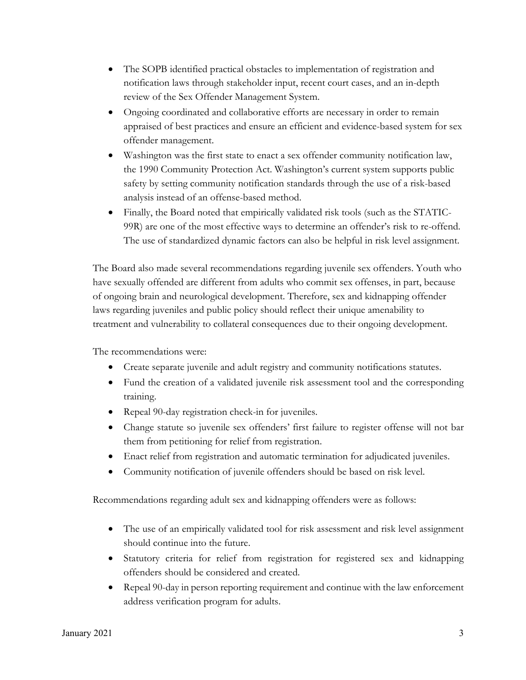- The SOPB identified practical obstacles to implementation of registration and notification laws through stakeholder input, recent court cases, and an in-depth review of the Sex Offender Management System.
- Ongoing coordinated and collaborative efforts are necessary in order to remain appraised of best practices and ensure an efficient and evidence-based system for sex offender management.
- Washington was the first state to enact a sex offender community notification law, the 1990 Community Protection Act. Washington's current system supports public safety by setting community notification standards through the use of a risk-based analysis instead of an offense-based method.
- Finally, the Board noted that empirically validated risk tools (such as the STATIC-99R) are one of the most effective ways to determine an offender's risk to re-offend. The use of standardized dynamic factors can also be helpful in risk level assignment.

The Board also made several recommendations regarding juvenile sex offenders. Youth who have sexually offended are different from adults who commit sex offenses, in part, because of ongoing brain and neurological development. Therefore, sex and kidnapping offender laws regarding juveniles and public policy should reflect their unique amenability to treatment and vulnerability to collateral consequences due to their ongoing development.

The recommendations were:

- Create separate juvenile and adult registry and community notifications statutes.
- Fund the creation of a validated juvenile risk assessment tool and the corresponding training.
- Repeal 90-day registration check-in for juveniles.
- Change statute so juvenile sex offenders' first failure to register offense will not bar them from petitioning for relief from registration.
- Enact relief from registration and automatic termination for adjudicated juveniles.
- Community notification of juvenile offenders should be based on risk level.

Recommendations regarding adult sex and kidnapping offenders were as follows:

- The use of an empirically validated tool for risk assessment and risk level assignment should continue into the future.
- Statutory criteria for relief from registration for registered sex and kidnapping offenders should be considered and created.
- $\bullet$  Repeal 90-day in person reporting requirement and continue with the law enforcement address verification program for adults.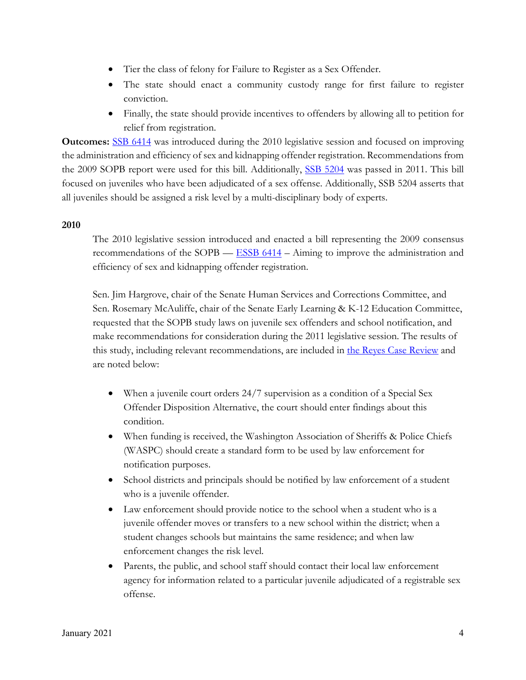- Tier the class of felony for Failure to Register as a Sex Offender.
- The state should enact a community custody range for first failure to register conviction.
- Finally, the state should provide incentives to offenders by allowing all to petition for relief from registration.

**Outcomes:** SSB 6414 was introduced during the 2010 legislative session and focused on improving the administration and efficiency of sex and kidnapping offender registration. Recommendations from the 2009 SOPB report were used for this bill. Additionally, SSB 5204 was passed in 2011. This bill focused on juveniles who have been adjudicated of a sex offense. Additionally, SSB 5204 asserts that all juveniles should be assigned a risk level by a multi-disciplinary body of experts.

# **2010**

The 2010 legislative session introduced and enacted a bill representing the 2009 consensus recommendations of the SOPB — **ESSB 6414** – Aiming to improve the administration and efficiency of sex and kidnapping offender registration.

Sen. Jim Hargrove, chair of the Senate Human Services and Corrections Committee, and Sen. Rosemary McAuliffe, chair of the Senate Early Learning & K-12 Education Committee, requested that the SOPB study laws on juvenile sex offenders and school notification, and make recommendations for consideration during the 2011 legislative session. The results of this study, including relevant recommendations, are included in the Reyes Case Review and are noted below:

- When a juvenile court orders 24/7 supervision as a condition of a Special Sex Offender Disposition Alternative, the court should enter findings about this condition.
- When funding is received, the Washington Association of Sheriffs & Police Chiefs (WASPC) should create a standard form to be used by law enforcement for notification purposes.
- School districts and principals should be notified by law enforcement of a student who is a juvenile offender.
- $\bullet$  Law enforcement should provide notice to the school when a student who is a juvenile offender moves or transfers to a new school within the district; when a student changes schools but maintains the same residence; and when law enforcement changes the risk level.
- Parents, the public, and school staff should contact their local law enforcement agency for information related to a particular juvenile adjudicated of a registrable sex offense.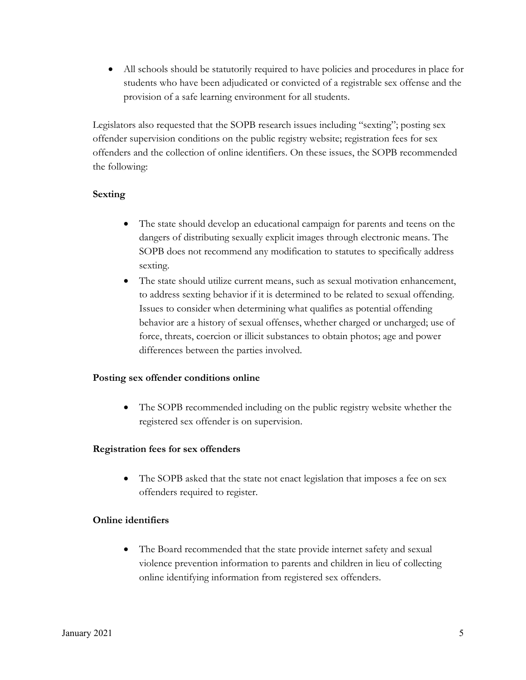• All schools should be statutorily required to have policies and procedures in place for students who have been adjudicated or convicted of a registrable sex offense and the provision of a safe learning environment for all students.

Legislators also requested that the SOPB research issues including "sexting"; posting sex offender supervision conditions on the public registry website; registration fees for sex offenders and the collection of online identifiers. On these issues, the SOPB recommended the following:

# **Sexting**

- The state should develop an educational campaign for parents and teens on the dangers of distributing sexually explicit images through electronic means. The SOPB does not recommend any modification to statutes to specifically address sexting.
- The state should utilize current means, such as sexual motivation enhancement, to address sexting behavior if it is determined to be related to sexual offending. Issues to consider when determining what qualifies as potential offending behavior are a history of sexual offenses, whether charged or uncharged; use of force, threats, coercion or illicit substances to obtain photos; age and power differences between the parties involved.

# **Posting sex offender conditions online**

The SOPB recommended including on the public registry website whether the registered sex offender is on supervision.

# **Registration fees for sex offenders**

• The SOPB asked that the state not enact legislation that imposes a fee on sex offenders required to register.

# **Online identifiers**

• The Board recommended that the state provide internet safety and sexual violence prevention information to parents and children in lieu of collecting online identifying information from registered sex offenders.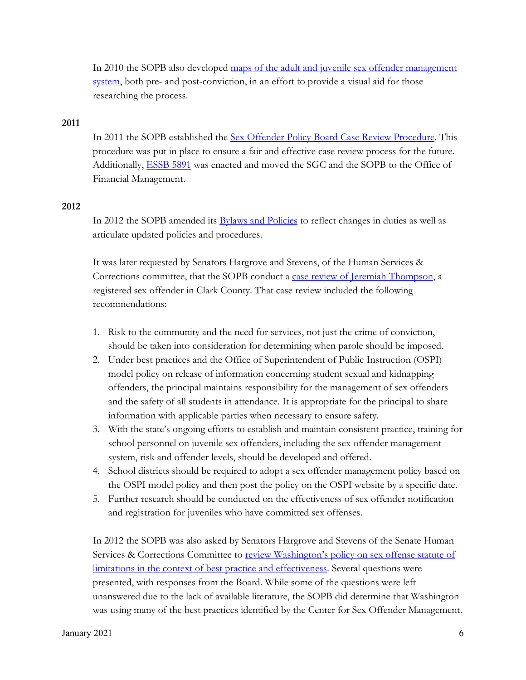In 2010 the SOPB also developed maps of the adult and juvenile sex offender management system, both pre- and post-conviction, in an effort to provide a visual aid for those researching the process.

#### **2011**

In 2011 the SOPB established the Sex Offender Policy Board Case Review Procedure. This procedure was put in place to ensure a fair and effective case review process for the future. Additionally, ESSB 5891 was enacted and moved the SGC and the SOPB to the Office of Financial Management.

# **2012**

In 2012 the SOPB amended its **Bylaws and Policies** to reflect changes in duties as well as articulate updated policies and procedures.

It was later requested by Senators Hargrove and Stevens, of the Human Services & Corrections committee, that the SOPB conduct a case review of Jeremiah Thompson, a registered sex offender in Clark County. That case review included the following recommendations:

- 1. Risk to the community and the need for services, not just the crime of conviction, should be taken into consideration for determining when parole should be imposed.
- 2. Under best practices and the Office of Superintendent of Public Instruction (OSPI) model policy on release of information concerning student sexual and kidnapping offenders, the principal maintains responsibility for the management of sex offenders and the safety of all students in attendance. It is appropriate for the principal to share information with applicable parties when necessary to ensure safety.
- 3. With the state's ongoing efforts to establish and maintain consistent practice, training for school personnel on juvenile sex offenders, including the sex offender management system, risk and offender levels, should be developed and offered.
- 4. School districts should be required to adopt a sex offender management policy based on the OSPI model policy and then post the policy on the OSPI website by a specific date.
- 5. Further research should be conducted on the effectiveness of sex offender notification and registration for juveniles who have committed sex offenses.

In 2012 the SOPB was also asked by Senators Hargrove and Stevens of the Senate Human Services & Corrections Committee to review Washington's policy on sex offense statute of limitations in the context of best practice and effectiveness. Several questions were presented, with responses from the Board. While some of the questions were left unanswered due to the lack of available literature, the SOPB did determine that Washington was using many of the best practices identified by the Center for Sex Offender Management.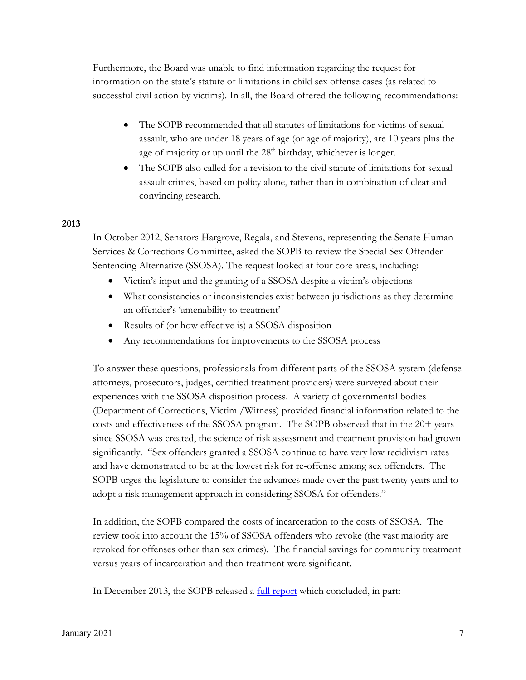Furthermore, the Board was unable to find information regarding the request for information on the state's statute of limitations in child sex offense cases (as related to successful civil action by victims). In all, the Board offered the following recommendations:

- The SOPB recommended that all statutes of limitations for victims of sexual assault, who are under 18 years of age (or age of majority), are 10 years plus the age of majority or up until the  $28<sup>th</sup>$  birthday, whichever is longer.
- The SOPB also called for a revision to the civil statute of limitations for sexual assault crimes, based on policy alone, rather than in combination of clear and convincing research.

#### **2013**

In October 2012, Senators Hargrove, Regala, and Stevens, representing the Senate Human Services & Corrections Committee, asked the SOPB to review the Special Sex Offender Sentencing Alternative (SSOSA). The request looked at four core areas, including:

- Victim's input and the granting of a SSOSA despite a victim's objections
- x What consistencies or inconsistencies exist between jurisdictions as they determine an offender's 'amenability to treatment'
- $\bullet$  Results of (or how effective is) a SSOSA disposition
- Any recommendations for improvements to the SSOSA process

To answer these questions, professionals from different parts of the SSOSA system (defense attorneys, prosecutors, judges, certified treatment providers) were surveyed about their experiences with the SSOSA disposition process. A variety of governmental bodies (Department of Corrections, Victim /Witness) provided financial information related to the costs and effectiveness of the SSOSA program. The SOPB observed that in the 20+ years since SSOSA was created, the science of risk assessment and treatment provision had grown significantly. "Sex offenders granted a SSOSA continue to have very low recidivism rates and have demonstrated to be at the lowest risk for re-offense among sex offenders. The SOPB urges the legislature to consider the advances made over the past twenty years and to adopt a risk management approach in considering SSOSA for offenders."

In addition, the SOPB compared the costs of incarceration to the costs of SSOSA. The review took into account the 15% of SSOSA offenders who revoke (the vast majority are revoked for offenses other than sex crimes). The financial savings for community treatment versus years of incarceration and then treatment were significant.

In December 2013, the SOPB released a <u>full report</u> which concluded, in part: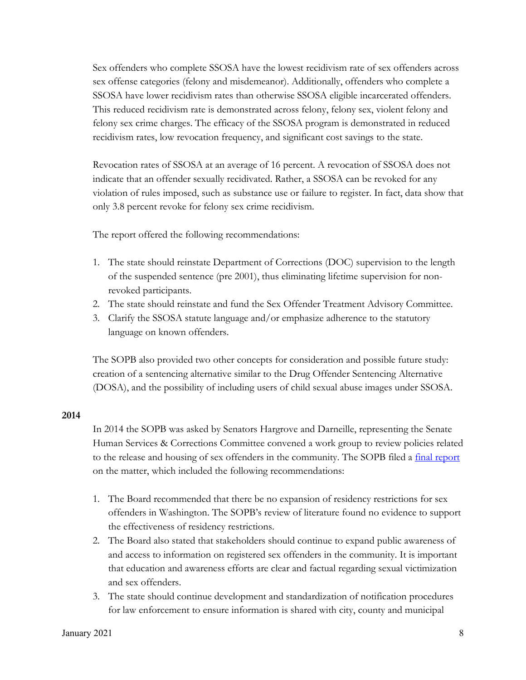Sex offenders who complete SSOSA have the lowest recidivism rate of sex offenders across sex offense categories (felony and misdemeanor). Additionally, offenders who complete a SSOSA have lower recidivism rates than otherwise SSOSA eligible incarcerated offenders. This reduced recidivism rate is demonstrated across felony, felony sex, violent felony and felony sex crime charges. The efficacy of the SSOSA program is demonstrated in reduced recidivism rates, low revocation frequency, and significant cost savings to the state.

Revocation rates of SSOSA at an average of 16 percent. A revocation of SSOSA does not indicate that an offender sexually recidivated. Rather, a SSOSA can be revoked for any violation of rules imposed, such as substance use or failure to register. In fact, data show that only 3.8 percent revoke for felony sex crime recidivism.

The report offered the following recommendations:

- 1. The state should reinstate Department of Corrections (DOC) supervision to the length of the suspended sentence (pre 2001), thus eliminating lifetime supervision for nonrevoked participants.
- 2. The state should reinstate and fund the Sex Offender Treatment Advisory Committee.
- 3. Clarify the SSOSA statute language and/or emphasize adherence to the statutory language on known offenders.

The SOPB also provided two other concepts for consideration and possible future study: creation of a sentencing alternative similar to the Drug Offender Sentencing Alternative (DOSA), and the possibility of including users of child sexual abuse images under SSOSA.

#### **2014**

In 2014 the SOPB was asked by Senators Hargrove and Darneille, representing the Senate Human Services & Corrections Committee convened a work group to review policies related to the release and housing of sex offenders in the community. The SOPB filed a final report on the matter, which included the following recommendations:

- 1. The Board recommended that there be no expansion of residency restrictions for sex offenders in Washington. The SOPB's review of literature found no evidence to support the effectiveness of residency restrictions.
- 2. The Board also stated that stakeholders should continue to expand public awareness of and access to information on registered sex offenders in the community. It is important that education and awareness efforts are clear and factual regarding sexual victimization and sex offenders.
- 3. The state should continue development and standardization of notification procedures for law enforcement to ensure information is shared with city, county and municipal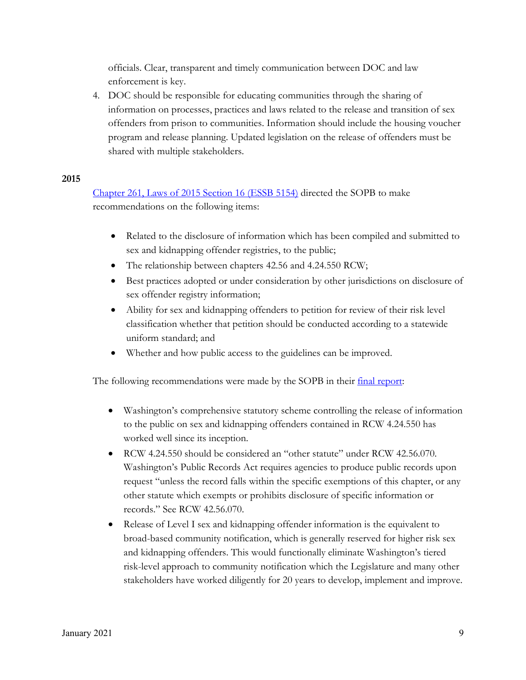officials. Clear, transparent and timely communication between DOC and law enforcement is key.

4. DOC should be responsible for educating communities through the sharing of information on processes, practices and laws related to the release and transition of sex offenders from prison to communities. Information should include the housing voucher program and release planning. Updated legislation on the release of offenders must be shared with multiple stakeholders.

# **2015**

Chapter 261, Laws of 2015 Section 16 (ESSB 5154) directed the SOPB to make recommendations on the following items:

- Related to the disclosure of information which has been compiled and submitted to sex and kidnapping offender registries, to the public;
- The relationship between chapters 42.56 and 4.24.550 RCW;
- **Example 3** Best practices adopted or under consideration by other jurisdictions on disclosure of sex offender registry information;
- Ability for sex and kidnapping offenders to petition for review of their risk level classification whether that petition should be conducted according to a statewide uniform standard; and
- Whether and how public access to the guidelines can be improved.

The following recommendations were made by the SOPB in their final report:

- Washington's comprehensive statutory scheme controlling the release of information to the public on sex and kidnapping offenders contained in RCW 4.24.550 has worked well since its inception.
- RCW 4.24.550 should be considered an "other statute" under RCW 42.56.070. Washington's Public Records Act requires agencies to produce public records upon request "unless the record falls within the specific exemptions of this chapter, or any other statute which exempts or prohibits disclosure of specific information or records." See RCW 42.56.070.
- Release of Level I sex and kidnapping offender information is the equivalent to broad-based community notification, which is generally reserved for higher risk sex and kidnapping offenders. This would functionally eliminate Washington's tiered risk-level approach to community notification which the Legislature and many other stakeholders have worked diligently for 20 years to develop, implement and improve.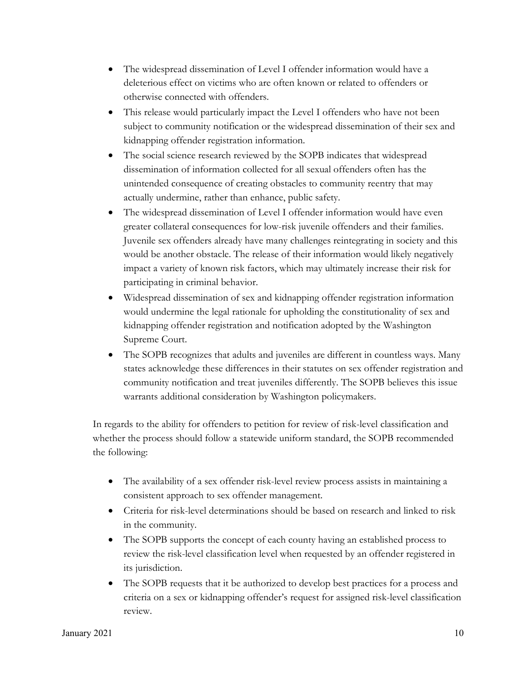- The widespread dissemination of Level I offender information would have a deleterious effect on victims who are often known or related to offenders or otherwise connected with offenders.
- This release would particularly impact the Level I offenders who have not been subject to community notification or the widespread dissemination of their sex and kidnapping offender registration information.
- The social science research reviewed by the SOPB indicates that widespread dissemination of information collected for all sexual offenders often has the unintended consequence of creating obstacles to community reentry that may actually undermine, rather than enhance, public safety.
- The widespread dissemination of Level I offender information would have even greater collateral consequences for low-risk juvenile offenders and their families. Juvenile sex offenders already have many challenges reintegrating in society and this would be another obstacle. The release of their information would likely negatively impact a variety of known risk factors, which may ultimately increase their risk for participating in criminal behavior.
- x Widespread dissemination of sex and kidnapping offender registration information would undermine the legal rationale for upholding the constitutionality of sex and kidnapping offender registration and notification adopted by the Washington Supreme Court.
- The SOPB recognizes that adults and juveniles are different in countless ways. Many states acknowledge these differences in their statutes on sex offender registration and community notification and treat juveniles differently. The SOPB believes this issue warrants additional consideration by Washington policymakers.

In regards to the ability for offenders to petition for review of risk-level classification and whether the process should follow a statewide uniform standard, the SOPB recommended the following:

- The availability of a sex offender risk-level review process assists in maintaining a consistent approach to sex offender management.
- Criteria for risk-level determinations should be based on research and linked to risk in the community.
- The SOPB supports the concept of each county having an established process to review the risk-level classification level when requested by an offender registered in its jurisdiction.
- The SOPB requests that it be authorized to develop best practices for a process and criteria on a sex or kidnapping offender's request for assigned risk-level classification review.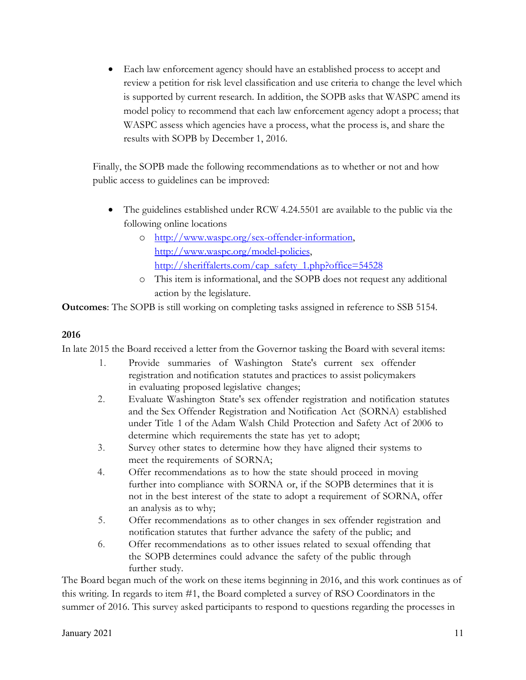• Each law enforcement agency should have an established process to accept and review a petition for risk level classification and use criteria to change the level which is supported by current research. In addition, the SOPB asks that WASPC amend its model policy to recommend that each law enforcement agency adopt a process; that WASPC assess which agencies have a process, what the process is, and share the results with SOPB by December 1, 2016.

Finally, the SOPB made the following recommendations as to whether or not and how public access to guidelines can be improved:

- The guidelines established under RCW 4.24.5501 are available to the public via the following online locations
	- o http://www.waspc.org/sex-offender-information, http://www.waspc.org/model-policies, http://sheriffalerts.com/cap\_safety\_1.php?office=54528
	- o This item is informational, and the SOPB does not request any additional action by the legislature.

**Outcomes**: The SOPB is still working on completing tasks assigned in reference to SSB 5154.

# **2016**

In late 2015 the Board received a letter from the Governor tasking the Board with several items:

- 1. Provide summaries of Washington State's current sex offender registration and notification statutes and practices to assist policymakers in evaluating proposed legislative changes;
- 2. Evaluate Washington State's sex offender registration and notification statutes and the Sex Offender Registration and Notification Act (SORNA) established under Title 1 of the Adam Walsh Child Protection and Safety Act of 2006 to determine which requirements the state has yet to adopt;
- 3. Survey other states to determine how they have aligned their systems to meet the requirements of SORNA;
- 4. Offer recommendations as to how the state should proceed in moving further into compliance with SORNA or, if the SOPB determines that it is not in the best interest of the state to adopt a requirement of SORNA, offer an analysis as to why;
- 5. Offer recommendations as to other changes in sex offender registration and notification statutes that further advance the safety of the public; and
- 6. Offer recommendations as to other issues related to sexual offending that the SOPB determines could advance the safety of the public through further study.

The Board began much of the work on these items beginning in 2016, and this work continues as of this writing. In regards to item #1, the Board completed a survey of RSO Coordinators in the summer of 2016. This survey asked participants to respond to questions regarding the processes in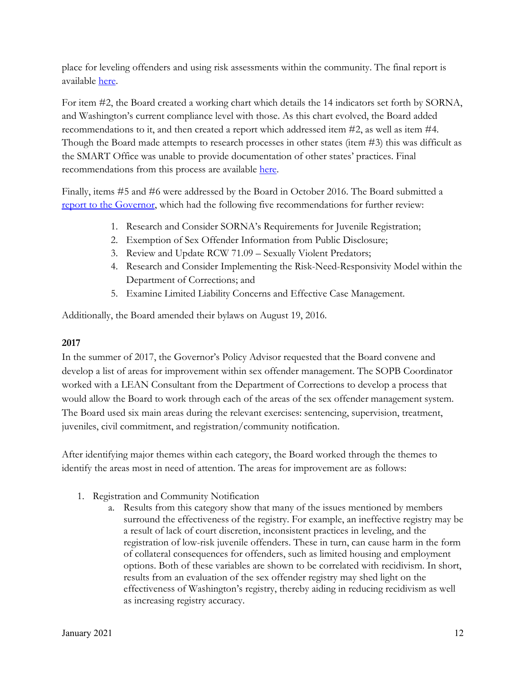place for leveling offenders and using risk assessments within the community. The final report is available here.

For item #2, the Board created a working chart which details the 14 indicators set forth by SORNA, and Washington's current compliance level with those. As this chart evolved, the Board added recommendations to it, and then created a report which addressed item #2, as well as item #4. Though the Board made attempts to research processes in other states (item #3) this was difficult as the SMART Office was unable to provide documentation of other states' practices. Final recommendations from this process are available here.

Finally, items #5 and #6 were addressed by the Board in October 2016. The Board submitted a report to the Governor, which had the following five recommendations for further review:

- 1. Research and Consider SORNA's Requirements for Juvenile Registration;
- 2. Exemption of Sex Offender Information from Public Disclosure;
- 3. Review and Update RCW 71.09 Sexually Violent Predators;
- 4. Research and Consider Implementing the Risk-Need-Responsivity Model within the Department of Corrections; and
- 5. Examine Limited Liability Concerns and Effective Case Management.

Additionally, the Board amended their bylaws on August 19, 2016.

# **2017**

In the summer of 2017, the Governor's Policy Advisor requested that the Board convene and develop a list of areas for improvement within sex offender management. The SOPB Coordinator worked with a LEAN Consultant from the Department of Corrections to develop a process that would allow the Board to work through each of the areas of the sex offender management system. The Board used six main areas during the relevant exercises: sentencing, supervision, treatment, juveniles, civil commitment, and registration/community notification.

After identifying major themes within each category, the Board worked through the themes to identify the areas most in need of attention. The areas for improvement are as follows:

- 1. Registration and Community Notification
	- a. Results from this category show that many of the issues mentioned by members surround the effectiveness of the registry. For example, an ineffective registry may be a result of lack of court discretion, inconsistent practices in leveling, and the registration of low-risk juvenile offenders. These in turn, can cause harm in the form of collateral consequences for offenders, such as limited housing and employment options. Both of these variables are shown to be correlated with recidivism. In short, results from an evaluation of the sex offender registry may shed light on the effectiveness of Washington's registry, thereby aiding in reducing recidivism as well as increasing registry accuracy.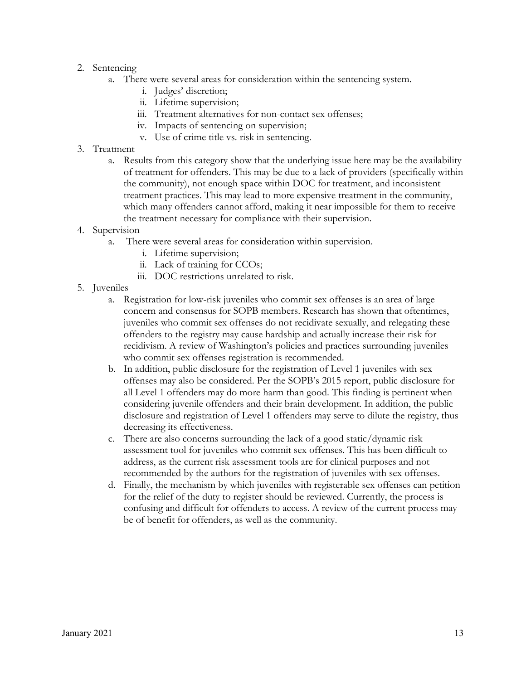- 2. Sentencing
	- a. There were several areas for consideration within the sentencing system.
		- i. Judges' discretion;
		- ii. Lifetime supervision;
		- iii. Treatment alternatives for non-contact sex offenses;
		- iv. Impacts of sentencing on supervision;
		- v. Use of crime title vs. risk in sentencing.
- 3. Treatment
	- a. Results from this category show that the underlying issue here may be the availability of treatment for offenders. This may be due to a lack of providers (specifically within the community), not enough space within DOC for treatment, and inconsistent treatment practices. This may lead to more expensive treatment in the community, which many offenders cannot afford, making it near impossible for them to receive the treatment necessary for compliance with their supervision.
- 4. Supervision
	- a. There were several areas for consideration within supervision.
		- i. Lifetime supervision;
		- ii. Lack of training for CCOs;
		- iii. DOC restrictions unrelated to risk.
- 5. Juveniles
	- a. Registration for low-risk juveniles who commit sex offenses is an area of large concern and consensus for SOPB members. Research has shown that oftentimes, juveniles who commit sex offenses do not recidivate sexually, and relegating these offenders to the registry may cause hardship and actually increase their risk for recidivism. A review of Washington's policies and practices surrounding juveniles who commit sex offenses registration is recommended.
	- b. In addition, public disclosure for the registration of Level 1 juveniles with sex offenses may also be considered. Per the SOPB's 2015 report, public disclosure for all Level 1 offenders may do more harm than good. This finding is pertinent when considering juvenile offenders and their brain development. In addition, the public disclosure and registration of Level 1 offenders may serve to dilute the registry, thus decreasing its effectiveness.
	- c. There are also concerns surrounding the lack of a good static/dynamic risk assessment tool for juveniles who commit sex offenses. This has been difficult to address, as the current risk assessment tools are for clinical purposes and not recommended by the authors for the registration of juveniles with sex offenses.
	- d. Finally, the mechanism by which juveniles with registerable sex offenses can petition for the relief of the duty to register should be reviewed. Currently, the process is confusing and difficult for offenders to access. A review of the current process may be of benefit for offenders, as well as the community.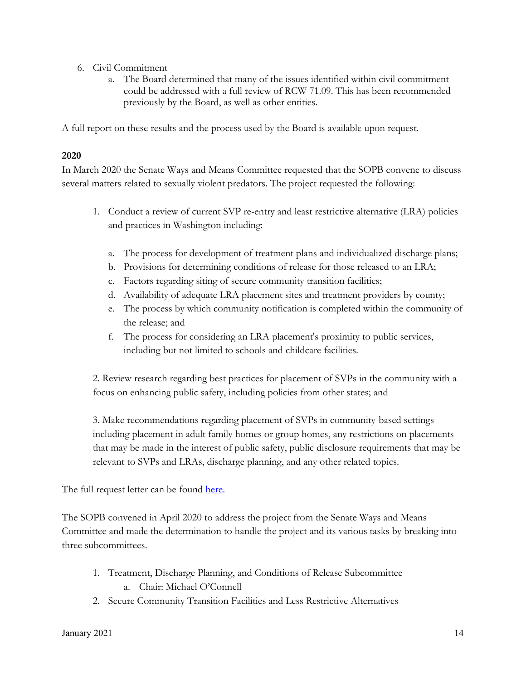- 6. Civil Commitment
	- a. The Board determined that many of the issues identified within civil commitment could be addressed with a full review of RCW 71.09. This has been recommended previously by the Board, as well as other entities.

A full report on these results and the process used by the Board is available upon request.

# **2020**

In March 2020 the Senate Ways and Means Committee requested that the SOPB convene to discuss several matters related to sexually violent predators. The project requested the following:

- 1. Conduct a review of current SVP re-entry and least restrictive alternative (LRA) policies and practices in Washington including:
	- a. The process for development of treatment plans and individualized discharge plans;
	- b. Provisions for determining conditions of release for those released to an LRA;
	- c. Factors regarding siting of secure community transition facilities;
	- d. Availability of adequate LRA placement sites and treatment providers by county;
	- e. The process by which community notification is completed within the community of the release; and
	- f. The process for considering an LRA placement's proximity to public services, including but not limited to schools and childcare facilities.

2. Review research regarding best practices for placement of SVPs in the community with a focus on enhancing public safety, including policies from other states; and

3. Make recommendations regarding placement of SVPs in community-based settings including placement in adult family homes or group homes, any restrictions on placements that may be made in the interest of public safety, public disclosure requirements that may be relevant to SVPs and LRAs, discharge planning, and any other related topics.

The full request letter can be found here.

The SOPB convened in April 2020 to address the project from the Senate Ways and Means Committee and made the determination to handle the project and its various tasks by breaking into three subcommittees.

- 1. Treatment, Discharge Planning, and Conditions of Release Subcommittee a. Chair: Michael O'Connell
- 2. Secure Community Transition Facilities and Less Restrictive Alternatives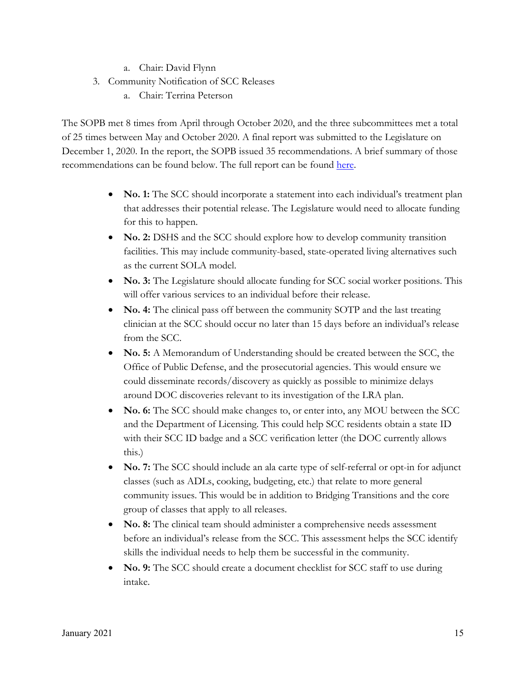- a. Chair: David Flynn
- 3. Community Notification of SCC Releases
	- a. Chair: Terrina Peterson

The SOPB met 8 times from April through October 2020, and the three subcommittees met a total of 25 times between May and October 2020. A final report was submitted to the Legislature on December 1, 2020. In the report, the SOPB issued 35 recommendations. A brief summary of those recommendations can be found below. The full report can be found here.

- **No. 1:** The SCC should incorporate a statement into each individual's treatment plan that addresses their potential release. The Legislature would need to allocate funding for this to happen.
- **No. 2:** DSHS and the SCC should explore how to develop community transition facilities. This may include community-based, state-operated living alternatives such as the current SOLA model.
- No. 3: The Legislature should allocate funding for SCC social worker positions. This will offer various services to an individual before their release.
- No. 4: The clinical pass off between the community SOTP and the last treating clinician at the SCC should occur no later than 15 days before an individual's release from the SCC.
- No. 5: A Memorandum of Understanding should be created between the SCC, the Office of Public Defense, and the prosecutorial agencies. This would ensure we could disseminate records/discovery as quickly as possible to minimize delays around DOC discoveries relevant to its investigation of the LRA plan.
- No. 6: The SCC should make changes to, or enter into, any MOU between the SCC and the Department of Licensing. This could help SCC residents obtain a state ID with their SCC ID badge and a SCC verification letter (the DOC currently allows this.)
- No. 7: The SCC should include an ala carte type of self-referral or opt-in for adjunct classes (such as ADLs, cooking, budgeting, etc.) that relate to more general community issues. This would be in addition to Bridging Transitions and the core group of classes that apply to all releases.
- No. 8: The clinical team should administer a comprehensive needs assessment before an individual's release from the SCC. This assessment helps the SCC identify skills the individual needs to help them be successful in the community.
- No. 9: The SCC should create a document checklist for SCC staff to use during intake.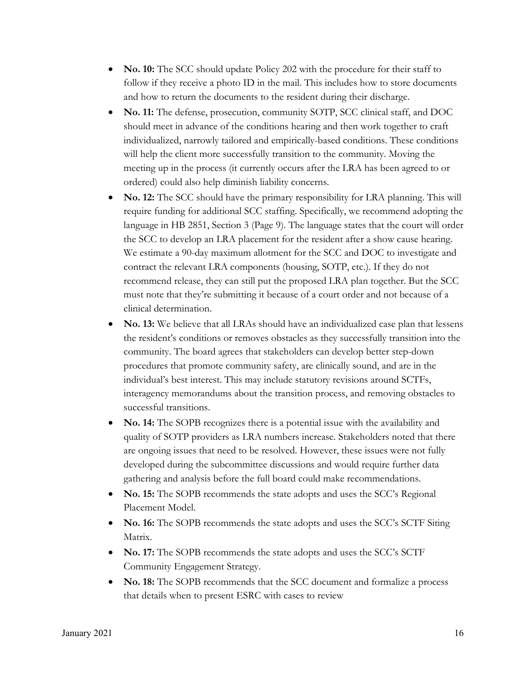- **No. 10:** The SCC should update Policy 202 with the procedure for their staff to follow if they receive a photo ID in the mail. This includes how to store documents and how to return the documents to the resident during their discharge.
- No. 11: The defense, prosecution, community SOTP, SCC clinical staff, and DOC should meet in advance of the conditions hearing and then work together to craft individualized, narrowly tailored and empirically-based conditions. These conditions will help the client more successfully transition to the community. Moving the meeting up in the process (it currently occurs after the LRA has been agreed to or ordered) could also help diminish liability concerns.
- x **No. 12:** The SCC should have the primary responsibility for LRA planning. This will require funding for additional SCC staffing. Specifically, we recommend adopting the language in HB 2851, Section 3 (Page 9). The language states that the court will order the SCC to develop an LRA placement for the resident after a show cause hearing. We estimate a 90-day maximum allotment for the SCC and DOC to investigate and contract the relevant LRA components (housing, SOTP, etc.). If they do not recommend release, they can still put the proposed LRA plan together. But the SCC must note that they're submitting it because of a court order and not because of a clinical determination.
- No. 13: We believe that all LRAs should have an individualized case plan that lessens the resident's conditions or removes obstacles as they successfully transition into the community. The board agrees that stakeholders can develop better step-down procedures that promote community safety, are clinically sound, and are in the individual's best interest. This may include statutory revisions around SCTFs, interagency memorandums about the transition process, and removing obstacles to successful transitions.
- No. 14: The SOPB recognizes there is a potential issue with the availability and quality of SOTP providers as LRA numbers increase. Stakeholders noted that there are ongoing issues that need to be resolved. However, these issues were not fully developed during the subcommittee discussions and would require further data gathering and analysis before the full board could make recommendations.
- **No. 15:** The SOPB recommends the state adopts and uses the SCC's Regional Placement Model.
- No. 16: The SOPB recommends the state adopts and uses the SCC's SCTF Siting Matrix.
- No. 17: The SOPB recommends the state adopts and uses the SCC's SCTF Community Engagement Strategy.
- No. 18: The SOPB recommends that the SCC document and formalize a process that details when to present ESRC with cases to review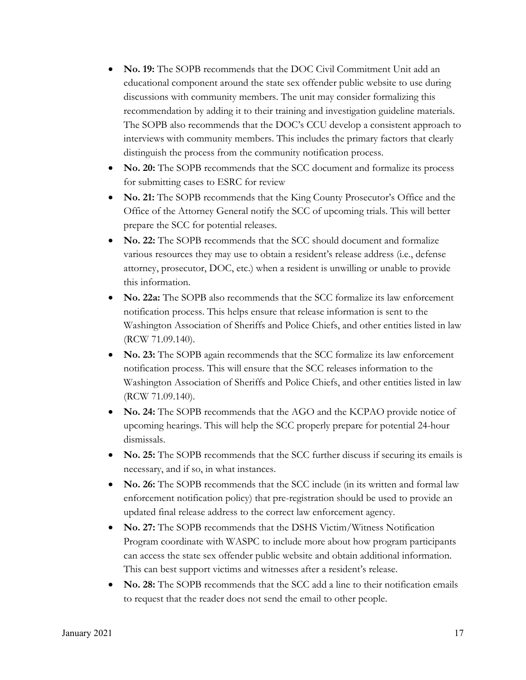- No. 19: The SOPB recommends that the DOC Civil Commitment Unit add an educational component around the state sex offender public website to use during discussions with community members. The unit may consider formalizing this recommendation by adding it to their training and investigation guideline materials. The SOPB also recommends that the DOC's CCU develop a consistent approach to interviews with community members. This includes the primary factors that clearly distinguish the process from the community notification process.
- **No. 20:** The SOPB recommends that the SCC document and formalize its process for submitting cases to ESRC for review
- No. 21: The SOPB recommends that the King County Prosecutor's Office and the Office of the Attorney General notify the SCC of upcoming trials. This will better prepare the SCC for potential releases.
- No. 22: The SOPB recommends that the SCC should document and formalize various resources they may use to obtain a resident's release address (i.e., defense attorney, prosecutor, DOC, etc.) when a resident is unwilling or unable to provide this information.
- No. 22a: The SOPB also recommends that the SCC formalize its law enforcement notification process. This helps ensure that release information is sent to the Washington Association of Sheriffs and Police Chiefs, and other entities listed in law (RCW 71.09.140).
- No. 23: The SOPB again recommends that the SCC formalize its law enforcement notification process. This will ensure that the SCC releases information to the Washington Association of Sheriffs and Police Chiefs, and other entities listed in law (RCW 71.09.140).
- No. 24: The SOPB recommends that the AGO and the KCPAO provide notice of upcoming hearings. This will help the SCC properly prepare for potential 24-hour dismissals.
- No. 25: The SOPB recommends that the SCC further discuss if securing its emails is necessary, and if so, in what instances.
- No. 26: The SOPB recommends that the SCC include (in its written and formal law enforcement notification policy) that pre-registration should be used to provide an updated final release address to the correct law enforcement agency.
- No. 27: The SOPB recommends that the DSHS Victim/Witness Notification Program coordinate with WASPC to include more about how program participants can access the state sex offender public website and obtain additional information. This can best support victims and witnesses after a resident's release.
- No. 28: The SOPB recommends that the SCC add a line to their notification emails to request that the reader does not send the email to other people.